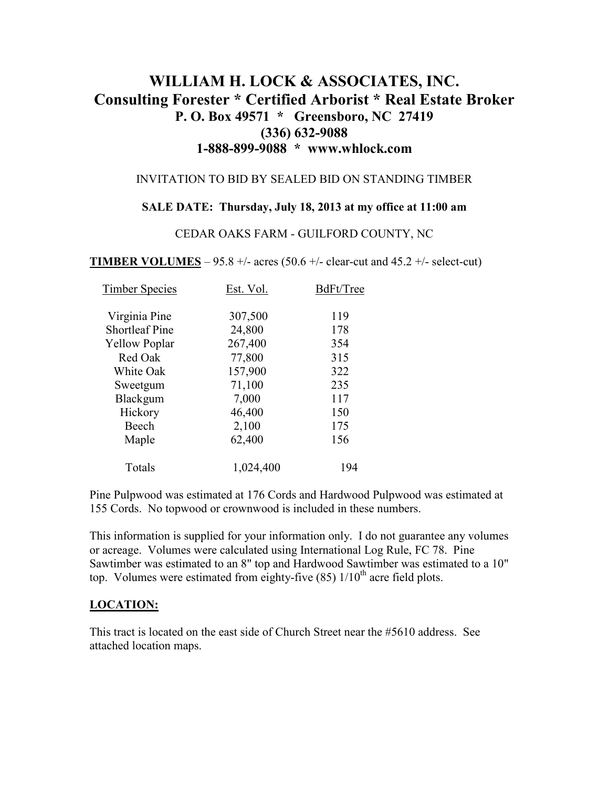# **WILLIAM H. LOCK & ASSOCIATES, INC. Consulting Forester \* Certified Arborist \* Real Estate Broker P. O. Box 49571 \* Greensboro, NC 27419 (336) 632-9088 1-888-899-9088 \* www.whlock.com**

#### INVITATION TO BID BY SEALED BID ON STANDING TIMBER

#### **SALE DATE: Thursday, July 18, 2013 at my office at 11:00 am**

#### CEDAR OAKS FARM - GUILFORD COUNTY, NC

**TIMBER VOLUMES** – 95.8 +/- acres (50.6 +/- clear-cut and 45.2 +/- select-cut)

| <b>Timber Species</b> | Est. Vol. | BdFt/Tree |
|-----------------------|-----------|-----------|
| Virginia Pine         | 307,500   | 119       |
| <b>Shortleaf Pine</b> | 24,800    | 178       |
| <b>Yellow Poplar</b>  | 267,400   | 354       |
| Red Oak               | 77,800    | 315       |
| White Oak             | 157,900   | 322       |
| Sweetgum              | 71,100    | 235       |
| Blackgum              | 7,000     | 117       |
| Hickory               | 46,400    | 150       |
| Beech                 | 2,100     | 175       |
| Maple                 | 62,400    | 156       |
| Totals                | 1,024,400 | 194       |

Pine Pulpwood was estimated at 176 Cords and Hardwood Pulpwood was estimated at 155 Cords. No topwood or crownwood is included in these numbers.

This information is supplied for your information only. I do not guarantee any volumes or acreage. Volumes were calculated using International Log Rule, FC 78. Pine Sawtimber was estimated to an 8" top and Hardwood Sawtimber was estimated to a 10" top. Volumes were estimated from eighty-five  $(85)$  1/10<sup>th</sup> acre field plots.

#### **LOCATION:**

This tract is located on the east side of Church Street near the #5610 address. See attached location maps.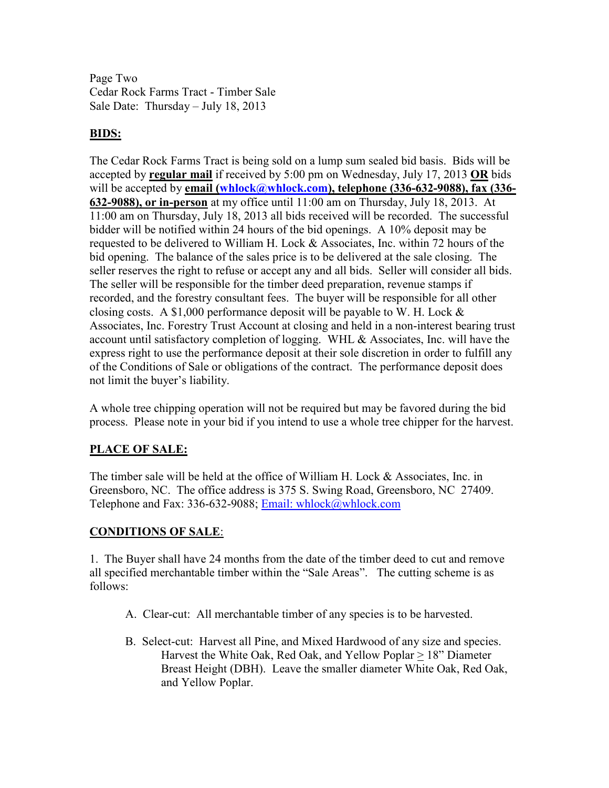Page Two Cedar Rock Farms Tract - Timber Sale Sale Date: Thursday – July 18, 2013

## **BIDS:**

The Cedar Rock Farms Tract is being sold on a lump sum sealed bid basis. Bids will be accepted by **regular mail** if received by 5:00 pm on Wednesday, July 17, 2013 **OR** bids will be accepted by **email** (whlock@whlock.com), telephone (336-632-9088), fax (336-**632-9088), or in-person** at my office until 11:00 am on Thursday, July 18, 2013. At 11:00 am on Thursday, July 18, 2013 all bids received will be recorded. The successful bidder will be notified within 24 hours of the bid openings. A 10% deposit may be requested to be delivered to William H. Lock  $&$  Associates, Inc. within 72 hours of the bid opening. The balance of the sales price is to be delivered at the sale closing. The seller reserves the right to refuse or accept any and all bids. Seller will consider all bids. The seller will be responsible for the timber deed preparation, revenue stamps if recorded, and the forestry consultant fees. The buyer will be responsible for all other closing costs. A \$1,000 performance deposit will be payable to W. H. Lock  $\&$ Associates, Inc. Forestry Trust Account at closing and held in a non-interest bearing trust account until satisfactory completion of logging. WHL & Associates, Inc. will have the express right to use the performance deposit at their sole discretion in order to fulfill any of the Conditions of Sale or obligations of the contract. The performance deposit does not limit the buyer's liability.

A whole tree chipping operation will not be required but may be favored during the bid process. Please note in your bid if you intend to use a whole tree chipper for the harvest.

# **PLACE OF SALE:**

The timber sale will be held at the office of William H. Lock & Associates, Inc. in Greensboro, NC. The office address is 375 S. Swing Road, Greensboro, NC 27409. Telephone and Fax: 336-632-9088; Email: whlock@whlock.com

### **CONDITIONS OF SALE**:

1. The Buyer shall have 24 months from the date of the timber deed to cut and remove all specified merchantable timber within the "Sale Areas". The cutting scheme is as follows:

- A. Clear-cut: All merchantable timber of any species is to be harvested.
- B. Select-cut: Harvest all Pine, and Mixed Hardwood of any size and species. Harvest the White Oak, Red Oak, and Yellow Poplar > 18" Diameter Breast Height (DBH). Leave the smaller diameter White Oak, Red Oak, and Yellow Poplar.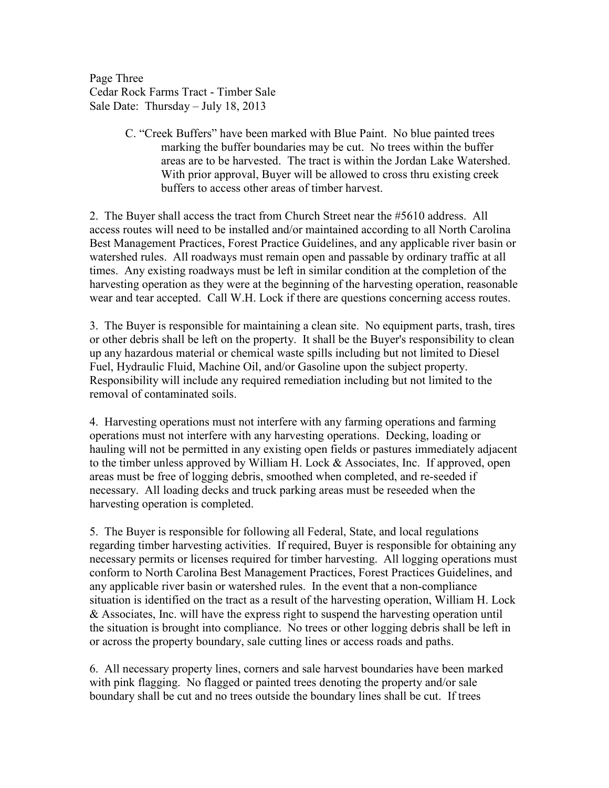Page Three Cedar Rock Farms Tract - Timber Sale Sale Date: Thursday – July 18, 2013

> C. "Creek Buffers" have been marked with Blue Paint. No blue painted trees marking the buffer boundaries may be cut. No trees within the buffer areas are to be harvested. The tract is within the Jordan Lake Watershed. With prior approval, Buyer will be allowed to cross thru existing creek buffers to access other areas of timber harvest.

2. The Buyer shall access the tract from Church Street near the #5610 address. All access routes will need to be installed and/or maintained according to all North Carolina Best Management Practices, Forest Practice Guidelines, and any applicable river basin or watershed rules. All roadways must remain open and passable by ordinary traffic at all times. Any existing roadways must be left in similar condition at the completion of the harvesting operation as they were at the beginning of the harvesting operation, reasonable wear and tear accepted. Call W.H. Lock if there are questions concerning access routes.

3. The Buyer is responsible for maintaining a clean site. No equipment parts, trash, tires or other debris shall be left on the property. It shall be the Buyer's responsibility to clean up any hazardous material or chemical waste spills including but not limited to Diesel Fuel, Hydraulic Fluid, Machine Oil, and/or Gasoline upon the subject property. Responsibility will include any required remediation including but not limited to the removal of contaminated soils.

4. Harvesting operations must not interfere with any farming operations and farming operations must not interfere with any harvesting operations. Decking, loading or hauling will not be permitted in any existing open fields or pastures immediately adjacent to the timber unless approved by William H. Lock & Associates, Inc. If approved, open areas must be free of logging debris, smoothed when completed, and re-seeded if necessary. All loading decks and truck parking areas must be reseeded when the harvesting operation is completed.

5. The Buyer is responsible for following all Federal, State, and local regulations regarding timber harvesting activities. If required, Buyer is responsible for obtaining any necessary permits or licenses required for timber harvesting. All logging operations must conform to North Carolina Best Management Practices, Forest Practices Guidelines, and any applicable river basin or watershed rules. In the event that a non-compliance situation is identified on the tract as a result of the harvesting operation, William H. Lock & Associates, Inc. will have the express right to suspend the harvesting operation until the situation is brought into compliance. No trees or other logging debris shall be left in or across the property boundary, sale cutting lines or access roads and paths.

6. All necessary property lines, corners and sale harvest boundaries have been marked with pink flagging. No flagged or painted trees denoting the property and/or sale boundary shall be cut and no trees outside the boundary lines shall be cut. If trees